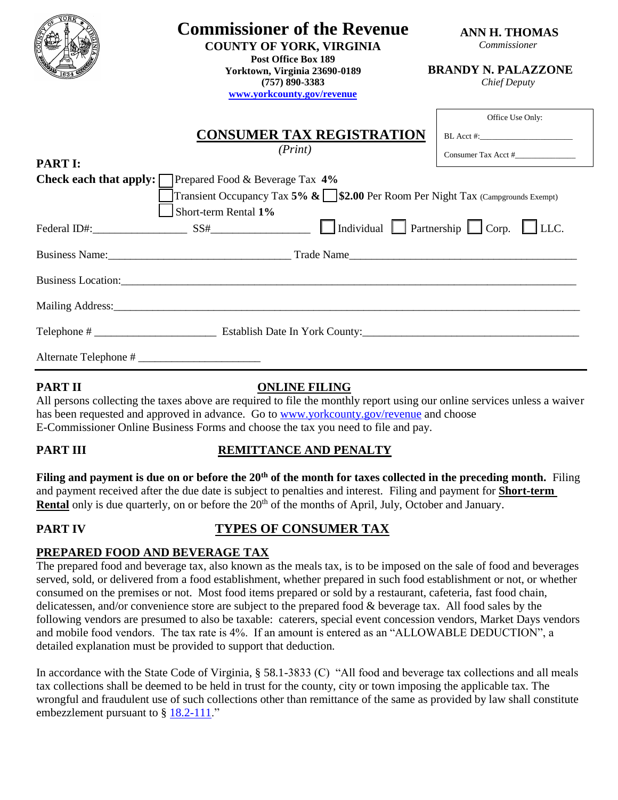|                | <b>Commissioner of the Revenue</b><br><b>COUNTY OF YORK, VIRGINIA</b><br><b>Post Office Box 189</b><br>Yorktown, Virginia 23690-0189<br>$(757) 890 - 3383$<br>www.yorkcounty.gov/revenue | <b>ANN H. THOMAS</b><br>Commissioner<br><b>BRANDY N. PALAZZONE</b><br>Chief Deputy |  |
|----------------|------------------------------------------------------------------------------------------------------------------------------------------------------------------------------------------|------------------------------------------------------------------------------------|--|
| <b>PART I:</b> | <b>CONSUMER TAX REGISTRATION</b><br>(Print)                                                                                                                                              | Office Use Only:                                                                   |  |
|                | <b>Check each that apply:</b> Prepared Food & Beverage Tax $4\%$<br>Transient Occupancy Tax 5% & S2.00 Per Room Per Night Tax (Campgrounds Exempt)<br>Short-term Rental 1%               |                                                                                    |  |
|                | Federal ID#: $SS#$ SS# Individual Partnership Corp. LLC.                                                                                                                                 |                                                                                    |  |
|                |                                                                                                                                                                                          |                                                                                    |  |
|                |                                                                                                                                                                                          |                                                                                    |  |
|                |                                                                                                                                                                                          |                                                                                    |  |
|                |                                                                                                                                                                                          |                                                                                    |  |
|                |                                                                                                                                                                                          |                                                                                    |  |

## **PART II** ONLINE FILING

All persons collecting the taxes above are required to file the monthly report using our online services unless a waiver has been requested and approved in advance. Go to [www.yorkcounty.gov/revenue](http://www.yorkcounty.gov/revenue) and choose E-Commissioner Online Business Forms and choose the tax you need to file and pay.

## **PART III REMITTANCE AND PENALTY**

**Filing and payment is due on or before the 20th of the month for taxes collected in the preceding month.** Filing and payment received after the due date is subject to penalties and interest. Filing and payment for **Short-term Rental** only is due quarterly, on or before the 20<sup>th</sup> of the months of April, July, October and January.

# **PART IV TYPES OF CONSUMER TAX**

## **PREPARED FOOD AND BEVERAGE TAX**

The prepared food and beverage tax, also known as the meals tax, is to be imposed on the sale of food and beverages served, sold, or delivered from a food establishment, whether prepared in such food establishment or not, or whether consumed on the premises or not. Most food items prepared or sold by a restaurant, cafeteria, fast food chain, delicatessen, and/or convenience store are subject to the prepared food & beverage tax. All food sales by the following vendors are presumed to also be taxable: caterers, special event concession vendors, Market Days vendors and mobile food vendors. The tax rate is 4%. If an amount is entered as an "ALLOWABLE DEDUCTION", a detailed explanation must be provided to support that deduction.

In accordance with the State Code of Virginia, § 58.1-3833 (C) "All food and beverage tax collections and all meals tax collections shall be deemed to be held in trust for the county, city or town imposing the applicable tax. The wrongful and fraudulent use of such collections other than remittance of the same as provided by law shall constitute embezzlement pursuant to § [18.2-111.](http://law.lis.virginia.gov/vacode/18.2-111/)"